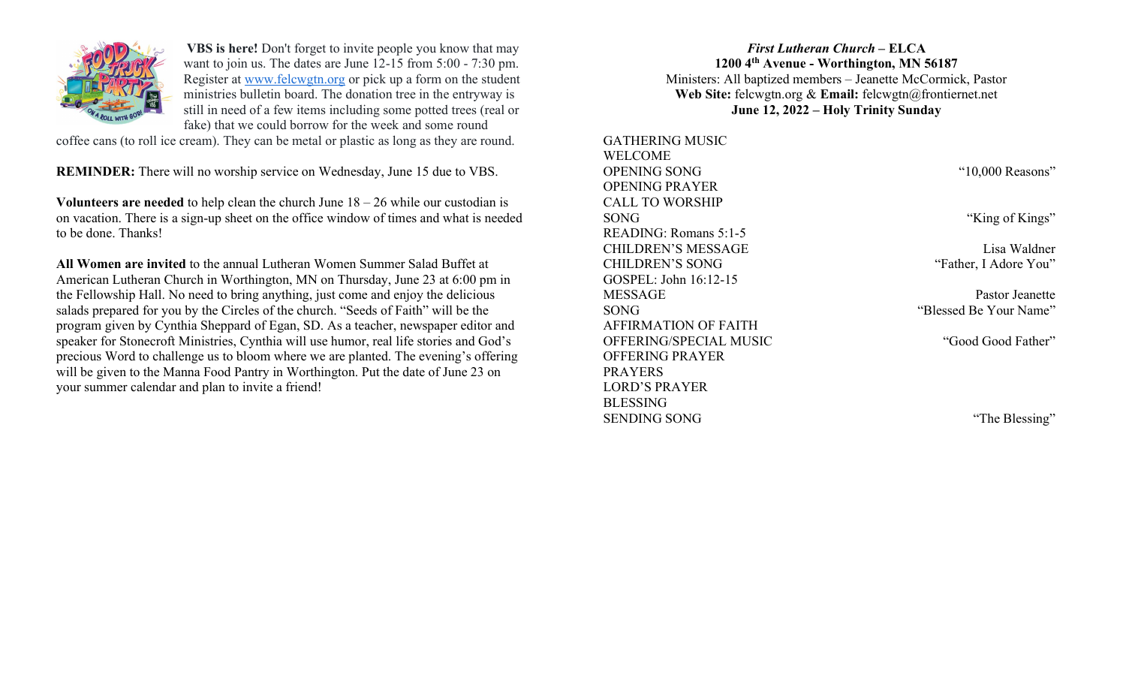

VBS is here! Don't forget to invite people you know that may want to join us. The dates are June 12-15 from 5:00 - 7:30 pm. Register at www.felcwgtn.org or pick up a form on the student ministries bulletin board. The donation tree in the entryway is still in need of a few items including some potted trees (real or fake) that we could borrow for the week and some round

coffee cans (to roll ice cream). They can be metal or plastic as long as they are round.

REMINDER: There will no worship service on Wednesday, June 15 due to VBS.

Volunteers are needed to help clean the church June  $18 - 26$  while our custodian is on vacation. There is a sign-up sheet on the office window of times and what is needed to be done. Thanks!

All Women are invited to the annual Lutheran Women Summer Salad Buffet at American Lutheran Church in Worthington, MN on Thursday, June 23 at 6:00 pm in the Fellowship Hall. No need to bring anything, just come and enjoy the delicious salads prepared for you by the Circles of the church. "Seeds of Faith" will be the program given by Cynthia Sheppard of Egan, SD. As a teacher, newspaper editor and speaker for Stonecroft Ministries, Cynthia will use humor, real life stories and God's precious Word to challenge us to bloom where we are planted. The evening's offering will be given to the Manna Food Pantry in Worthington. Put the date of June 23 on your summer calendar and plan to invite a friend!

## First Lutheran Church – ELCA 1200 4th Avenue - Worthington, MN 56187 Ministers: All baptized members – Jeanette McCormick, Pastor Web Site: felcwgtn.org & Email: felcwgtn@frontiernet.net June 12, 2022 – Holy Trinity Sunday

GATHERING MUSIC WELCOME OPENING SONG "10,000 Reasons" OPENING PRAYER CALL TO WORSHIP SONG "King of Kings" READING: Romans 5:1-5 CHILDREN'S MESSAGE Lisa Waldner CHILDREN'S SONG "Father, I Adore You" GOSPEL: John 16:12-15 MESSAGE Pastor Jeanette SONG "Blessed Be Your Name" AFFIRMATION OF FAITH OFFERING/SPECIAL MUSIC "Good Good Father" OFFERING PRAYER PRAYERS LORD'S PRAYER BLESSING SENDING SONG "The Blessing"